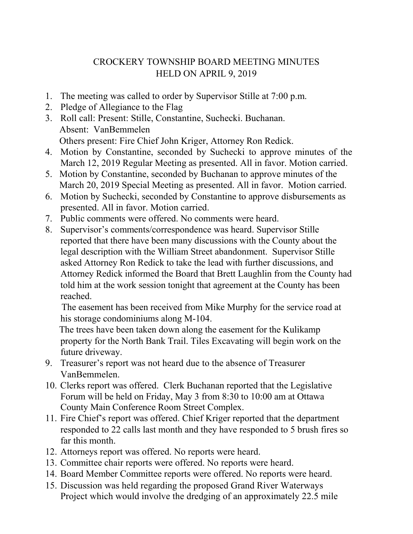## CROCKERY TOWNSHIP BOARD MEETING MINUTES HELD ON APRIL 9, 2019

- 1. The meeting was called to order by Supervisor Stille at 7:00 p.m.
- 2. Pledge of Allegiance to the Flag
- 3. Roll call: Present: Stille, Constantine, Suchecki. Buchanan. Absent: VanBemmelen Others present: Fire Chief John Kriger, Attorney Ron Redick.
- 4. Motion by Constantine, seconded by Suchecki to approve minutes of the March 12, 2019 Regular Meeting as presented. All in favor. Motion carried.
- 5. Motion by Constantine, seconded by Buchanan to approve minutes of the March 20, 2019 Special Meeting as presented. All in favor. Motion carried.
- 6. Motion by Suchecki, seconded by Constantine to approve disbursements as presented. All in favor. Motion carried.
- 7. Public comments were offered. No comments were heard.
- 8. Supervisor's comments/correspondence was heard. Supervisor Stille reported that there have been many discussions with the County about the legal description with the William Street abandonment. Supervisor Stille asked Attorney Ron Redick to take the lead with further discussions, and Attorney Redick informed the Board that Brett Laughlin from the County had told him at the work session tonight that agreement at the County has been reached.

 The easement has been received from Mike Murphy for the service road at his storage condominiums along M-104.

 The trees have been taken down along the easement for the Kulikamp property for the North Bank Trail. Tiles Excavating will begin work on the future driveway.

- 9. Treasurer's report was not heard due to the absence of Treasurer VanBemmelen.
- 10. Clerks report was offered. Clerk Buchanan reported that the Legislative Forum will be held on Friday, May 3 from 8:30 to 10:00 am at Ottawa County Main Conference Room Street Complex.
- 11. Fire Chief's report was offered. Chief Kriger reported that the department responded to 22 calls last month and they have responded to 5 brush fires so far this month.
- 12. Attorneys report was offered. No reports were heard.
- 13. Committee chair reports were offered. No reports were heard.
- 14. Board Member Committee reports were offered. No reports were heard.
- 15. Discussion was held regarding the proposed Grand River Waterways Project which would involve the dredging of an approximately 22.5 mile